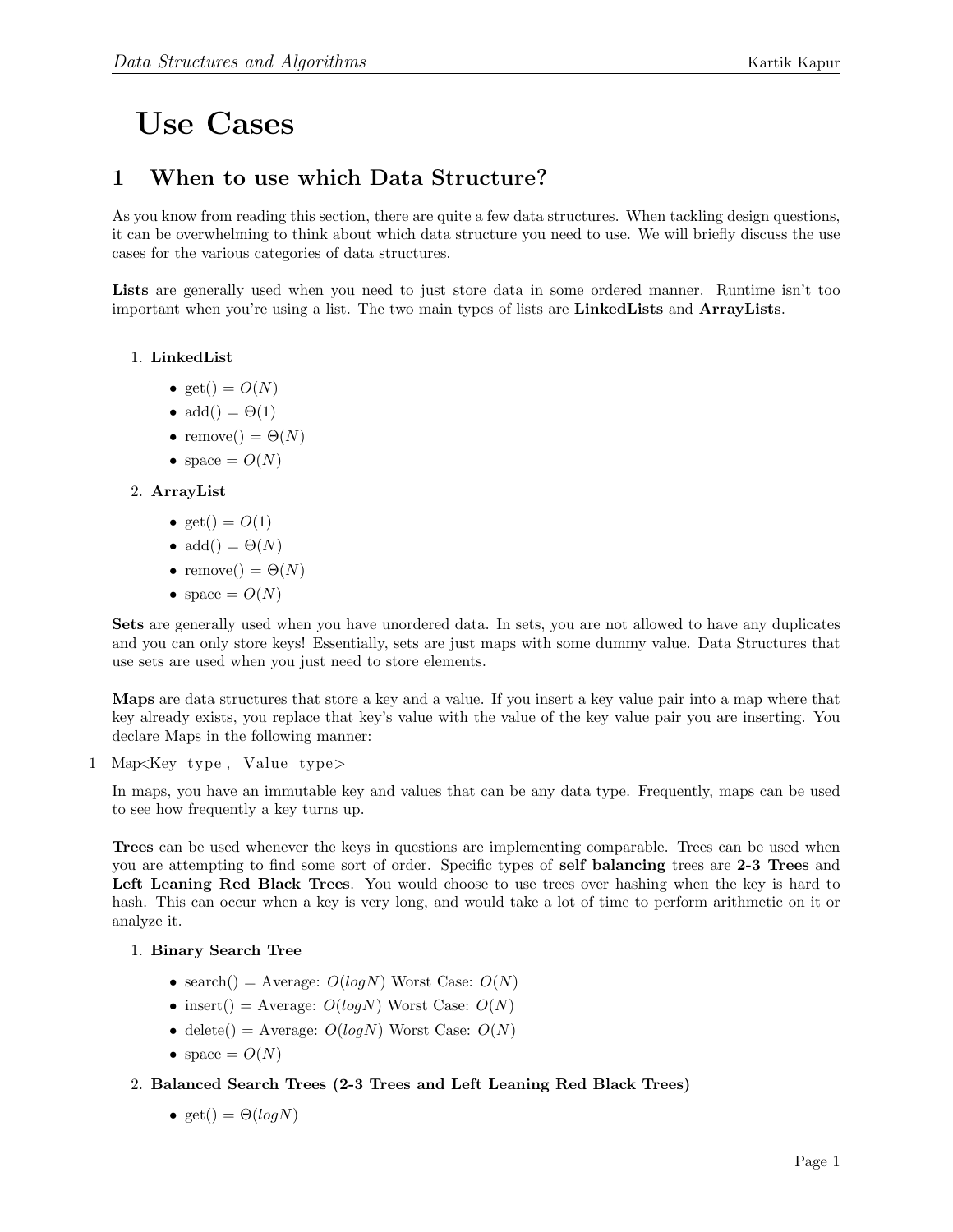# Use Cases

## 1 When to use which Data Structure?

As you know from reading this section, there are quite a few data structures. When tackling design questions, it can be overwhelming to think about which data structure you need to use. We will briefly discuss the use cases for the various categories of data structures.

Lists are generally used when you need to just store data in some ordered manner. Runtime isn't too important when you're using a list. The two main types of lists are **LinkedLists** and **ArrayLists**.

## 1. LinkedList

- get() =  $O(N)$
- $add() = \Theta(1)$
- remove() =  $\Theta(N)$
- space  $= O(N)$

## 2. ArrayList

- get() =  $O(1)$
- add() =  $\Theta(N)$
- remove() =  $\Theta(N)$
- space  $= O(N)$

Sets are generally used when you have unordered data. In sets, you are not allowed to have any duplicates and you can only store keys! Essentially, sets are just maps with some dummy value. Data Structures that use sets are used when you just need to store elements.

Maps are data structures that store a key and a value. If you insert a key value pair into a map where that key already exists, you replace that key's value with the value of the key value pair you are inserting. You declare Maps in the following manner:

1 Map<Key type , Value type>

In maps, you have an immutable key and values that can be any data type. Frequently, maps can be used to see how frequently a key turns up.

Trees can be used whenever the keys in questions are implementing comparable. Trees can be used when you are attempting to find some sort of order. Specific types of self balancing trees are 2-3 Trees and Left Leaning Red Black Trees. You would choose to use trees over hashing when the key is hard to hash. This can occur when a key is very long, and would take a lot of time to perform arithmetic on it or analyze it.

#### 1. Binary Search Tree

- search $() =$  Average:  $O(logN)$  Worst Case:  $O(N)$
- insert() = Average:  $O(logN)$  Worst Case:  $O(N)$
- delete() = Average:  $O(logN)$  Worst Case:  $O(N)$
- space  $= O(N)$

#### 2. Balanced Search Trees (2-3 Trees and Left Leaning Red Black Trees)

• get() =  $\Theta(logN)$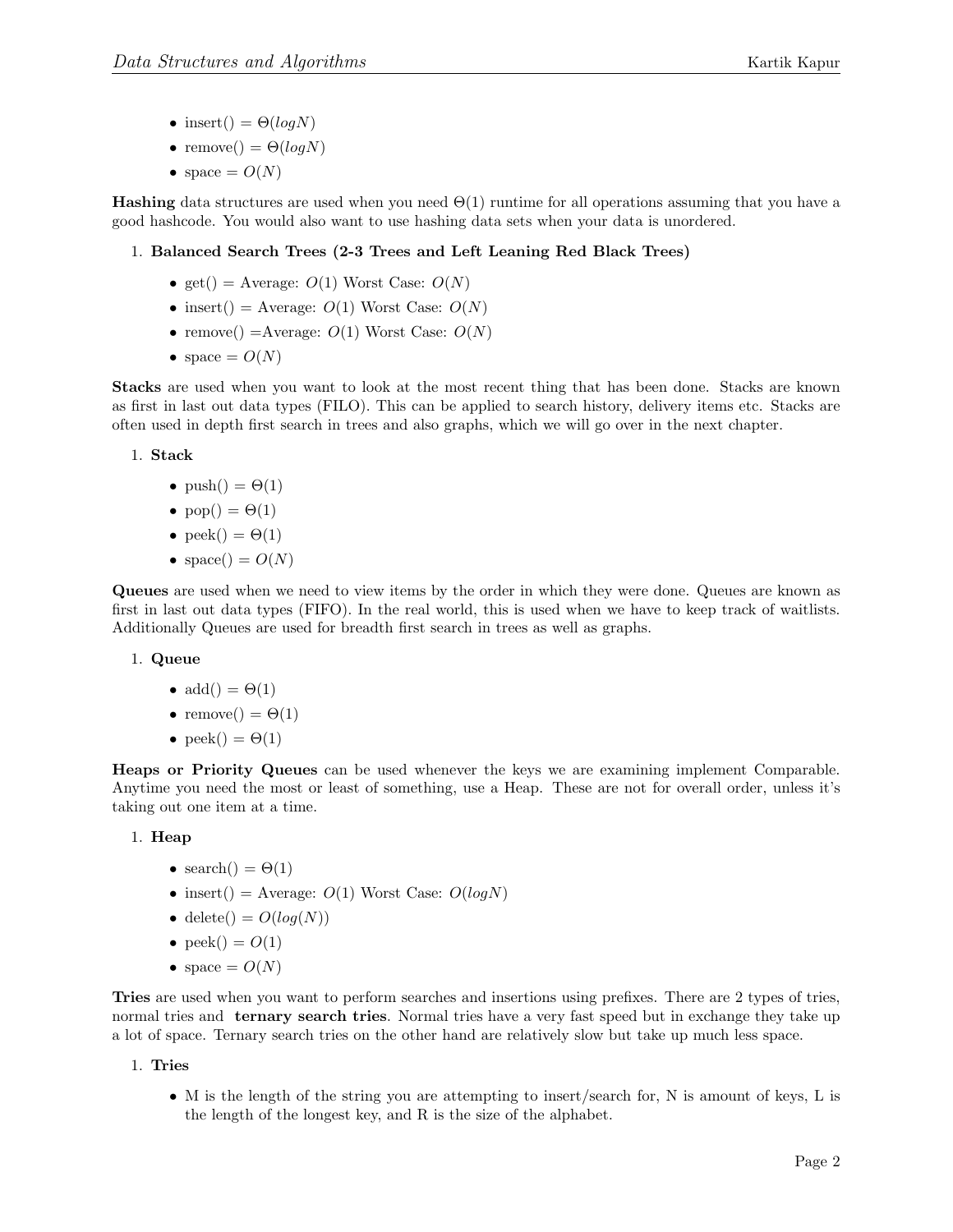- insert() =  $\Theta(logN)$
- remove() =  $\Theta(logN)$
- space  $= O(N)$

**Hashing** data structures are used when you need  $\Theta(1)$  runtime for all operations assuming that you have a good hashcode. You would also want to use hashing data sets when your data is unordered.

## 1. Balanced Search Trees (2-3 Trees and Left Leaning Red Black Trees)

- get() = Average:  $O(1)$  Worst Case:  $O(N)$
- insert() = Average:  $O(1)$  Worst Case:  $O(N)$
- remove() = Average:  $O(1)$  Worst Case:  $O(N)$
- space  $= O(N)$

Stacks are used when you want to look at the most recent thing that has been done. Stacks are known as first in last out data types (FILO). This can be applied to search history, delivery items etc. Stacks are often used in depth first search in trees and also graphs, which we will go over in the next chapter.

#### 1. Stack

- push() =  $\Theta(1)$
- pop() =  $\Theta(1)$
- peek() =  $\Theta(1)$
- space() =  $O(N)$

Queues are used when we need to view items by the order in which they were done. Queues are known as first in last out data types (FIFO). In the real world, this is used when we have to keep track of waitlists. Additionally Queues are used for breadth first search in trees as well as graphs.

#### 1. Queue

- $add() = \Theta(1)$
- remove() =  $\Theta(1)$
- peek $() = \Theta(1)$

Heaps or Priority Queues can be used whenever the keys we are examining implement Comparable. Anytime you need the most or least of something, use a Heap. These are not for overall order, unless it's taking out one item at a time.

#### 1. Heap

- search() =  $\Theta(1)$
- insert() = Average:  $O(1)$  Worst Case:  $O(logN)$
- delete() =  $O(log(N))$
- peek $() = O(1)$
- space  $= O(N)$

Tries are used when you want to perform searches and insertions using prefixes. There are 2 types of tries, normal tries and **ternary search tries**. Normal tries have a very fast speed but in exchange they take up a lot of space. Ternary search tries on the other hand are relatively slow but take up much less space.

#### 1. Tries

• M is the length of the string you are attempting to insert/search for, N is amount of keys, L is the length of the longest key, and R is the size of the alphabet.